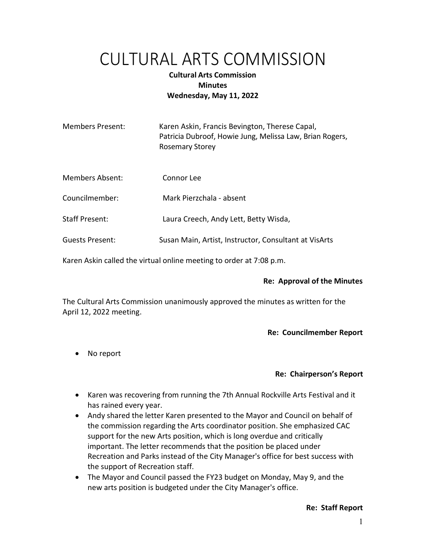# CULTURAL ARTS COMMISSION

# Cultural Arts Commission **Minutes** Wednesday, May 11, 2022

| <b>Members Present:</b>                                             | Karen Askin, Francis Bevington, Therese Capal,<br>Patricia Dubroof, Howie Jung, Melissa Law, Brian Rogers,<br><b>Rosemary Storey</b> |
|---------------------------------------------------------------------|--------------------------------------------------------------------------------------------------------------------------------------|
| <b>Members Absent:</b>                                              | Connor Lee                                                                                                                           |
| Councilmember:                                                      | Mark Pierzchala - absent                                                                                                             |
| <b>Staff Present:</b>                                               | Laura Creech, Andy Lett, Betty Wisda,                                                                                                |
| <b>Guests Present:</b>                                              | Susan Main, Artist, Instructor, Consultant at VisArts                                                                                |
| Karen Askin called the virtual online meeting to order at 7:08 p.m. |                                                                                                                                      |

## Re: Approval of the Minutes

The Cultural Arts Commission unanimously approved the minutes as written for the April 12, 2022 meeting.

## Re: Councilmember Report

• No report

## Re: Chairperson's Report

- Karen was recovering from running the 7th Annual Rockville Arts Festival and it has rained every year.
- Andy shared the letter Karen presented to the Mayor and Council on behalf of the commission regarding the Arts coordinator position. She emphasized CAC support for the new Arts position, which is long overdue and critically important. The letter recommends that the position be placed under Recreation and Parks instead of the City Manager's office for best success with the support of Recreation staff.
- The Mayor and Council passed the FY23 budget on Monday, May 9, and the new arts position is budgeted under the City Manager's office.

## Re: Staff Report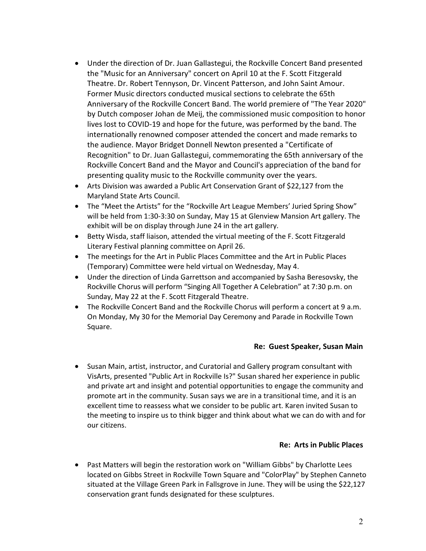- Under the direction of Dr. Juan Gallastegui, the Rockville Concert Band presented the "Music for an Anniversary" concert on April 10 at the F. Scott Fitzgerald Theatre. Dr. Robert Tennyson, Dr. Vincent Patterson, and John Saint Amour. Former Music directors conducted musical sections to celebrate the 65th Anniversary of the Rockville Concert Band. The world premiere of "The Year 2020" by Dutch composer Johan de Meij, the commissioned music composition to honor lives lost to COVID-19 and hope for the future, was performed by the band. The internationally renowned composer attended the concert and made remarks to the audience. Mayor Bridget Donnell Newton presented a "Certificate of Recognition" to Dr. Juan Gallastegui, commemorating the 65th anniversary of the Rockville Concert Band and the Mayor and Council's appreciation of the band for presenting quality music to the Rockville community over the years.
- Arts Division was awarded a Public Art Conservation Grant of \$22,127 from the Maryland State Arts Council.
- The "Meet the Artists" for the "Rockville Art League Members' Juried Spring Show" will be held from 1:30-3:30 on Sunday, May 15 at Glenview Mansion Art gallery. The exhibit will be on display through June 24 in the art gallery.
- Betty Wisda, staff liaison, attended the virtual meeting of the F. Scott Fitzgerald Literary Festival planning committee on April 26.
- The meetings for the Art in Public Places Committee and the Art in Public Places (Temporary) Committee were held virtual on Wednesday, May 4.
- Under the direction of Linda Garrettson and accompanied by Sasha Beresovsky, the Rockville Chorus will perform "Singing All Together A Celebration" at 7:30 p.m. on Sunday, May 22 at the F. Scott Fitzgerald Theatre.
- The Rockville Concert Band and the Rockville Chorus will perform a concert at 9 a.m. On Monday, My 30 for the Memorial Day Ceremony and Parade in Rockville Town Square.

## Re: Guest Speaker, Susan Main

 Susan Main, artist, instructor, and Curatorial and Gallery program consultant with VisArts, presented "Public Art in Rockville Is?" Susan shared her experience in public and private art and insight and potential opportunities to engage the community and promote art in the community. Susan says we are in a transitional time, and it is an excellent time to reassess what we consider to be public art. Karen invited Susan to the meeting to inspire us to think bigger and think about what we can do with and for our citizens.

## Re: Arts in Public Places

 Past Matters will begin the restoration work on "William Gibbs" by Charlotte Lees located on Gibbs Street in Rockville Town Square and "ColorPlay" by Stephen Canneto situated at the Village Green Park in Fallsgrove in June. They will be using the \$22,127 conservation grant funds designated for these sculptures.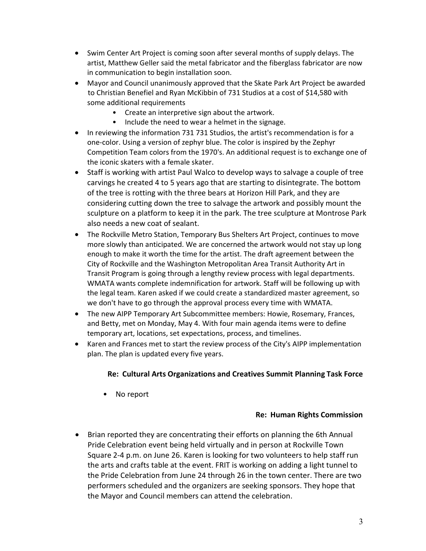- Swim Center Art Project is coming soon after several months of supply delays. The artist, Matthew Geller said the metal fabricator and the fiberglass fabricator are now in communication to begin installation soon.
- Mayor and Council unanimously approved that the Skate Park Art Project be awarded to Christian Benefiel and Ryan McKibbin of 731 Studios at a cost of \$14,580 with some additional requirements
	- Create an interpretive sign about the artwork.
	- Include the need to wear a helmet in the signage.
- In reviewing the information 731 731 Studios, the artist's recommendation is for a one-color. Using a version of zephyr blue. The color is inspired by the Zephyr Competition Team colors from the 1970's. An additional request is to exchange one of the iconic skaters with a female skater.
- Staff is working with artist Paul Walco to develop ways to salvage a couple of tree carvings he created 4 to 5 years ago that are starting to disintegrate. The bottom of the tree is rotting with the three bears at Horizon Hill Park, and they are considering cutting down the tree to salvage the artwork and possibly mount the sculpture on a platform to keep it in the park. The tree sculpture at Montrose Park also needs a new coat of sealant.
- The Rockville Metro Station, Temporary Bus Shelters Art Project, continues to move more slowly than anticipated. We are concerned the artwork would not stay up long enough to make it worth the time for the artist. The draft agreement between the City of Rockville and the Washington Metropolitan Area Transit Authority Art in Transit Program is going through a lengthy review process with legal departments. WMATA wants complete indemnification for artwork. Staff will be following up with the legal team. Karen asked if we could create a standardized master agreement, so we don't have to go through the approval process every time with WMATA.
- The new AIPP Temporary Art Subcommittee members: Howie, Rosemary, Frances, and Betty, met on Monday, May 4. With four main agenda items were to define temporary art, locations, set expectations, process, and timelines.
- Karen and Frances met to start the review process of the City's AIPP implementation plan. The plan is updated every five years.

## Re: Cultural Arts Organizations and Creatives Summit Planning Task Force

• No report

## Re: Human Rights Commission

 Brian reported they are concentrating their efforts on planning the 6th Annual Pride Celebration event being held virtually and in person at Rockville Town Square 2-4 p.m. on June 26. Karen is looking for two volunteers to help staff run the arts and crafts table at the event. FRIT is working on adding a light tunnel to the Pride Celebration from June 24 through 26 in the town center. There are two performers scheduled and the organizers are seeking sponsors. They hope that the Mayor and Council members can attend the celebration.